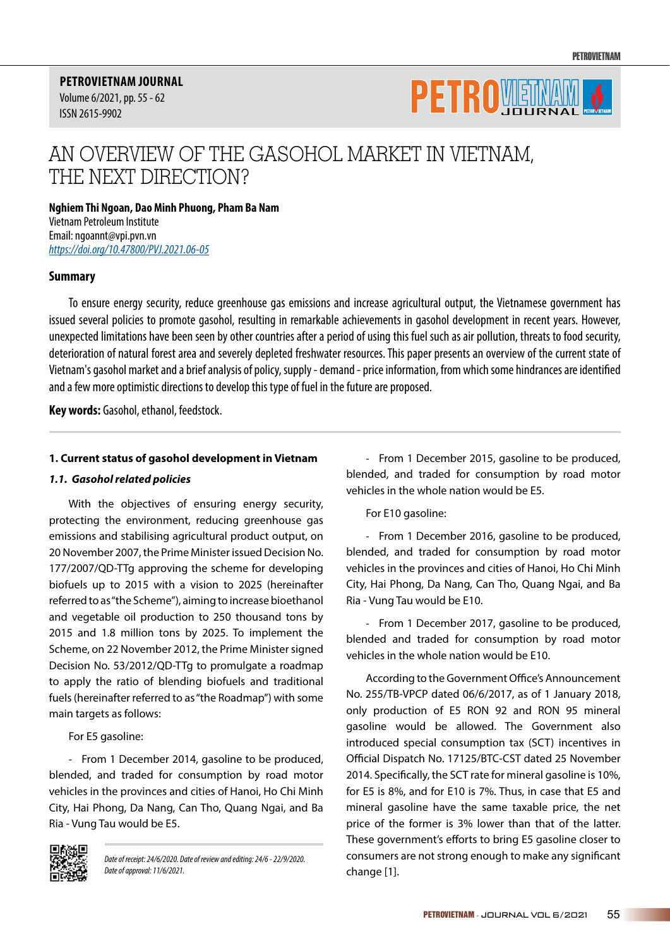**PETROVIETNAM JOURNAL** Volume 6/2021, pp. 55 - 62 ISSN 2615-9902



# AN OVERVIEW OF THE GASOHOL MARKET IN VIETNAM, THE NEXT DIRECTION?

**Nghiem Thi Ngoan, Dao Minh Phuong, Pham Ba Nam** Vietnam Petroleum Institute Email: ngoannt@vpi.pvn.vn *https://doi.org/10.47800/PVJ.2021.06-05*

#### **Summary**

To ensure energy security, reduce greenhouse gas emissions and increase agricultural output, the Vietnamese government has issued several policies to promote gasohol, resulting in remarkable achievements in gasohol development in recent years. However, unexpected limitations have been seen by other countries after a period of using this fuel such as air pollution, threats to food security, deterioration of natural forest area and severely depleted freshwater resources. This paper presents an overview of the current state of Vietnam's gasohol market and a brief analysis of policy, supply - demand - price information, from which some hindrances are identified and a few more optimistic directions to develop this type of fuel in the future are proposed.

**Key words:** Gasohol, ethanol, feedstock.

#### **1. Current status of gasohol development in Vietnam**

#### *1.1. Gasohol related policies*

With the objectives of ensuring energy security, protecting the environment, reducing greenhouse gas emissions and stabilising agricultural product output, on 20 November 2007, the Prime Minister issued Decision No. 177/2007/QD-TTg approving the scheme for developing biofuels up to 2015 with a vision to 2025 (hereinafter referred to as "the Scheme"), aiming to increase bioethanol and vegetable oil production to 250 thousand tons by 2015 and 1.8 million tons by 2025. To implement the Scheme, on 22 November 2012, the Prime Minister signed Decision No. 53/2012/QD-TTg to promulgate a roadmap to apply the ratio of blending biofuels and traditional fuels (hereinafter referred to as "the Roadmap") with some main targets as follows:

For E5 gasoline:

- From 1 December 2014, gasoline to be produced, blended, and traded for consumption by road motor vehicles in the provinces and cities of Hanoi, Ho Chi Minh City, Hai Phong, Da Nang, Can Tho, Quang Ngai, and Ba Ria - Vung Tau would be E5.



*Date of receipt: 24/6/2020. Date of review and editing: 24/6 - 22/9/2020. Date of approval: 11/6/2021.*

- From 1 December 2015, gasoline to be produced, blended, and traded for consumption by road motor vehicles in the whole nation would be E5.

For E10 gasoline:

- From 1 December 2016, gasoline to be produced, blended, and traded for consumption by road motor vehicles in the provinces and cities of Hanoi, Ho Chi Minh City, Hai Phong, Da Nang, Can Tho, Quang Ngai, and Ba Ria - Vung Tau would be E10.

- From 1 December 2017, gasoline to be produced, blended and traded for consumption by road motor vehicles in the whole nation would be E10.

According to the Government Office's Announcement No. 255/TB-VPCP dated 06/6/2017, as of 1 January 2018, only production of E5 RON 92 and RON 95 mineral gasoline would be allowed. The Government also introduced special consumption tax (SCT) incentives in Official Dispatch No. 17125/BTC-CST dated 25 November 2014. Specifically, the SCT rate for mineral gasoline is 10%, for E5 is 8%, and for E10 is 7%. Thus, in case that E5 and mineral gasoline have the same taxable price, the net price of the former is 3% lower than that of the latter. These government's efforts to bring E5 gasoline closer to consumers are not strong enough to make any significant change [1].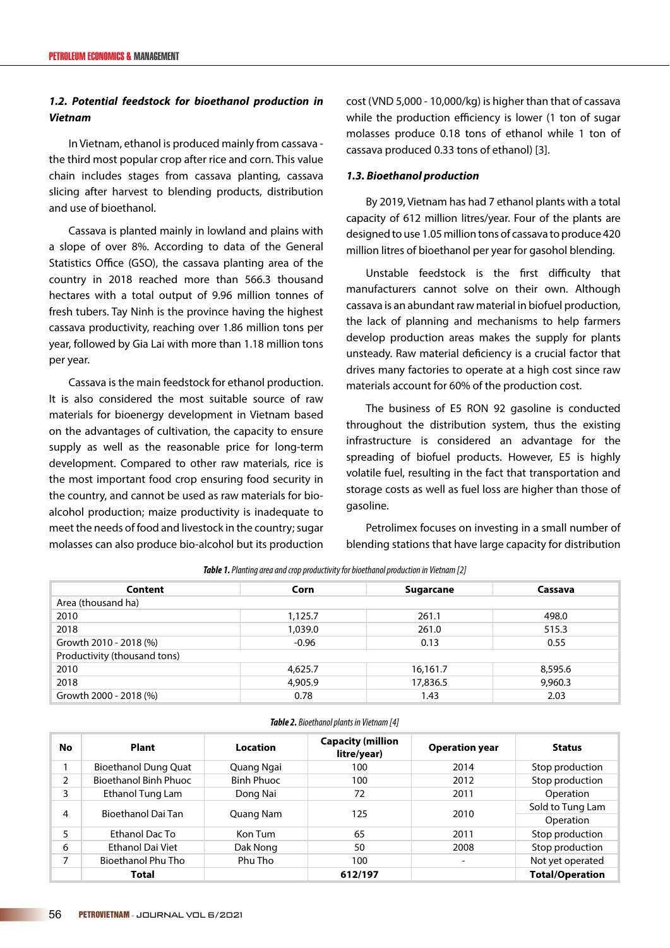## *1.2. Potential feedstock for bioethanol production in Vietnam*

In Vietnam, ethanol is produced mainly from cassava the third most popular crop after rice and corn. This value chain includes stages from cassava planting, cassava slicing after harvest to blending products, distribution and use of bioethanol.

Cassava is planted mainly in lowland and plains with a slope of over 8%. According to data of the General Statistics Office (GSO), the cassava planting area of the country in 2018 reached more than 566.3 thousand hectares with a total output of 9.96 million tonnes of fresh tubers. Tay Ninh is the province having the highest cassava productivity, reaching over 1.86 million tons per year, followed by Gia Lai with more than 1.18 million tons per year.

Cassava is the main feedstock for ethanol production. It is also considered the most suitable source of raw materials for bioenergy development in Vietnam based on the advantages of cultivation, the capacity to ensure supply as well as the reasonable price for long-term development. Compared to other raw materials, rice is the most important food crop ensuring food security in the country, and cannot be used as raw materials for bioalcohol production; maize productivity is inadequate to meet the needs of food and livestock in the country; sugar molasses can also produce bio-alcohol but its production cost (VND 5,000 - 10,000/kg) is higher than that of cassava while the production efficiency is lower (1 ton of sugar molasses produce 0.18 tons of ethanol while 1 ton of cassava produced 0.33 tons of ethanol) [3].

## *1.3. Bioethanol production*

By 2019, Vietnam has had 7 ethanol plants with a total capacity of 612 million litres/year. Four of the plants are designed to use 1.05 million tons of cassava to produce 420 million litres of bioethanol per year for gasohol blending.

Unstable feedstock is the first difficulty that manufacturers cannot solve on their own. Although cassava is an abundant raw material in biofuel production, the lack of planning and mechanisms to help farmers develop production areas makes the supply for plants unsteady. Raw material deficiency is a crucial factor that drives many factories to operate at a high cost since raw materials account for 60% of the production cost.

The business of E5 RON 92 gasoline is conducted throughout the distribution system, thus the existing infrastructure is considered an advantage for the spreading of biofuel products. However, E5 is highly volatile fuel, resulting in the fact that transportation and storage costs as well as fuel loss are higher than those of gasoline.

Petrolimex focuses on investing in a small number of blending stations that have large capacity for distribution

| Content                      | Corn    | <b>Sugarcane</b> | Cassava |  |  |
|------------------------------|---------|------------------|---------|--|--|
| Area (thousand ha)           |         |                  |         |  |  |
| 2010                         | 1,125.7 | 261.1            | 498.0   |  |  |
| 2018                         | 1,039.0 | 261.0            | 515.3   |  |  |
| Growth 2010 - 2018 (%)       | $-0.96$ | 0.13             | 0.55    |  |  |
| Productivity (thousand tons) |         |                  |         |  |  |
| 2010                         | 4,625.7 | 16,161.7         | 8,595.6 |  |  |
| 2018                         | 4,905.9 | 17,836.5         | 9,960.3 |  |  |
| Growth 2000 - 2018 (%)       | 0.78    | 1.43             | 2.03    |  |  |

*Table 2. Bioethanol plants in Vietnam [4]*

*Table 1. Planting area and crop productivity for bioethanol production in Vietnam [2]*

| No | Plant                        | Location          | <b>Capacity (million</b><br>litre/year) | <b>Operation year</b>    | <b>Status</b>                 |
|----|------------------------------|-------------------|-----------------------------------------|--------------------------|-------------------------------|
|    | <b>Bioethanol Dung Quat</b>  | Quang Ngai        | 100                                     | 2014                     | Stop production               |
| 2  | <b>Bioethanol Binh Phuoc</b> | <b>Binh Phuoc</b> | 100                                     | 2012                     | Stop production               |
| 3  | Ethanol Tung Lam             | Dong Nai          | 72                                      | 2011                     | Operation                     |
| 4  | Bioethanol Dai Tan           | Quang Nam         | 125                                     | 2010                     | Sold to Tung Lam<br>Operation |
| 5  | Ethanol Dac To               | Kon Tum           | 65                                      | 2011                     | Stop production               |
| 6  | <b>Ethanol Dai Viet</b>      | Dak Nong          | 50                                      | 2008                     | Stop production               |
|    | <b>Bioethanol Phu Tho</b>    | Phu Tho           | 100                                     | $\overline{\phantom{a}}$ | Not yet operated              |
|    | Total                        |                   | 612/197                                 |                          | <b>Total/Operation</b>        |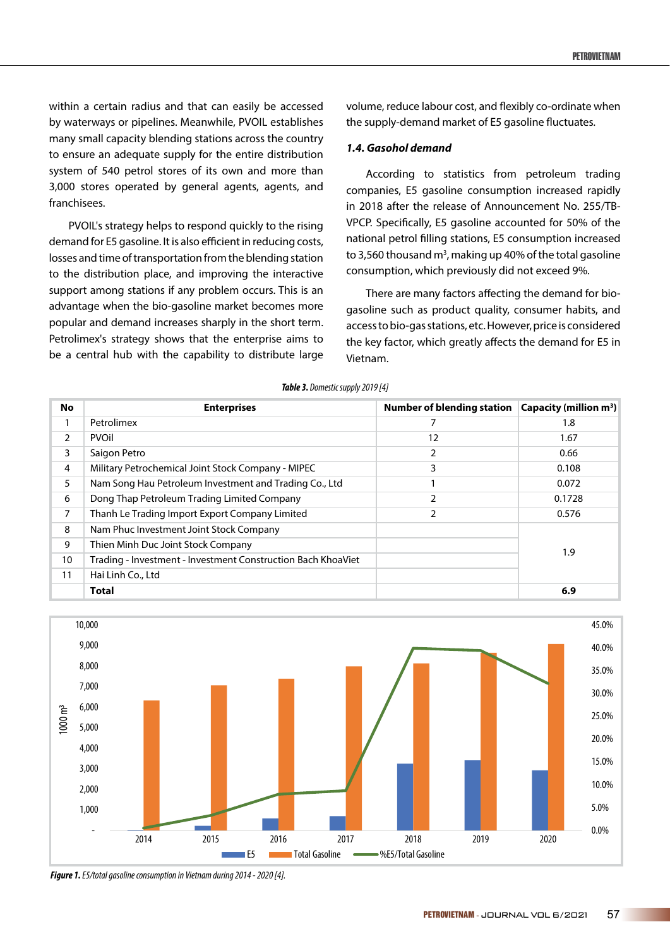within a certain radius and that can easily be accessed by waterways or pipelines. Meanwhile, PVOIL establishes many small capacity blending stations across the country to ensure an adequate supply for the entire distribution system of 540 petrol stores of its own and more than 3,000 stores operated by general agents, agents, and franchisees.

PVOIL's strategy helps to respond quickly to the rising demand for E5 gasoline. It is also efficient in reducing costs, losses and time of transportation from the blending station to the distribution place, and improving the interactive support among stations if any problem occurs. This is an advantage when the bio-gasoline market becomes more popular and demand increases sharply in the short term. Petrolimex's strategy shows that the enterprise aims to be a central hub with the capability to distribute large

volume, reduce labour cost, and flexibly co-ordinate when the supply-demand market of E5 gasoline fluctuates.

#### *1.4. Gasohol demand*

According to statistics from petroleum trading companies, E5 gasoline consumption increased rapidly in 2018 after the release of Announcement No. 255/TB-VPCP. Specifically, E5 gasoline accounted for 50% of the national petrol filling stations, E5 consumption increased to 3,560 thousand m<sup>3</sup>, making up 40% of the total gasoline consumption, which previously did not exceed 9%.

There are many factors affecting the demand for biogasoline such as product quality, consumer habits, and access to bio-gas stations, etc. However, price is considered the key factor, which greatly affects the demand for E5 in Vietnam.

| <b>No</b>      | <b>Enterprises</b>                                           | <b>Number of blending station</b> | Capacity (million $m^3$ ) |
|----------------|--------------------------------------------------------------|-----------------------------------|---------------------------|
|                | Petrolimex                                                   | 7                                 | 1.8                       |
| $\overline{2}$ | <b>PVOII</b>                                                 | 12                                | 1.67                      |
| 3              | Saigon Petro                                                 | 2                                 | 0.66                      |
| 4              | Military Petrochemical Joint Stock Company - MIPEC           | 3                                 | 0.108                     |
| 5              | Nam Song Hau Petroleum Investment and Trading Co., Ltd       |                                   | 0.072                     |
| 6              | Dong Thap Petroleum Trading Limited Company                  | 2                                 | 0.1728                    |
| 7              | Thanh Le Trading Import Export Company Limited               | 2                                 | 0.576                     |
| 8              | Nam Phuc Investment Joint Stock Company                      |                                   |                           |
| 9              | Thien Minh Duc Joint Stock Company                           |                                   | 1.9                       |
| 10             | Trading - Investment - Investment Construction Bach KhoaViet |                                   |                           |
| 11             | Hai Linh Co., Ltd                                            |                                   |                           |
|                | <b>Total</b>                                                 |                                   | 6.9                       |





*Figure 1. E5/total gasoline consumption in Vietnam during 2014 - 2020 [4].*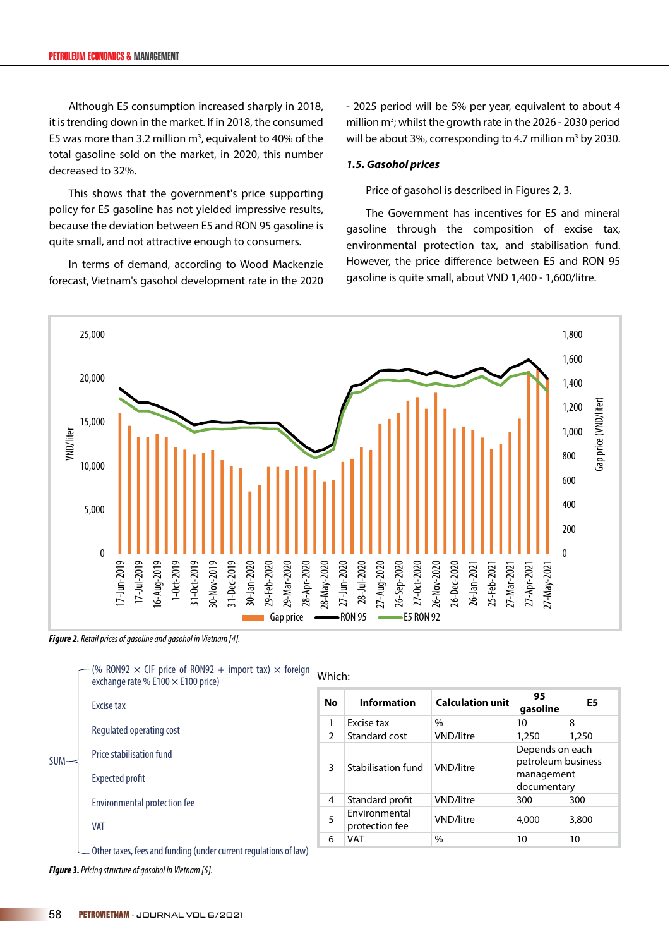Although E5 consumption increased sharply in 2018, it is trending down in the market. If in 2018, the consumed E5 was more than 3.2 million  $m<sup>3</sup>$ , equivalent to 40% of the total gasoline sold on the market, in 2020, this number decreased to 32%.

This shows that the government's price supporting policy for E5 gasoline has not yielded impressive results, because the deviation between E5 and RON 95 gasoline is quite small, and not attractive enough to consumers.

In terms of demand, according to Wood Mackenzie forecast, Vietnam's gasohol development rate in the 2020 - 2025 period will be 5% per year, equivalent to about 4 million m<sup>3</sup>; whilst the growth rate in the 2026 - 2030 period will be about 3%, corresponding to 4.7 million  $m<sup>3</sup>$  by 2030.

#### *1.5. Gasohol prices*

Price of gasohol is described in Figures 2, 3.

The Government has incentives for E5 and mineral gasoline through the composition of excise tax, environmental protection tax, and stabilisation fund. However, the price difference between E5 and RON 95 gasoline is quite small, about VND 1,400 - 1,600/litre.



*Figure 2. Retail prices of gasoline and gasohol in Vietnam [4].*

 $(6.80)$  RON92  $\times$  CIF price of RON92  $+$  import tax)  $\times$  foreign

|                          | $\frac{1}{2}$ is the state of none in importantly and computed the state of $\frac{1}{2}$<br>exchange rate % E100 $\times$ E100 price) | Which:        |                                 |                         |                                                                    |                |
|--------------------------|----------------------------------------------------------------------------------------------------------------------------------------|---------------|---------------------------------|-------------------------|--------------------------------------------------------------------|----------------|
|                          | Excise tax                                                                                                                             | No            | <b>Information</b>              | <b>Calculation unit</b> | 95<br>gasoline                                                     | E <sub>5</sub> |
|                          |                                                                                                                                        |               | Excise tax                      | $\frac{0}{0}$           | 10                                                                 | 8              |
|                          | Regulated operating cost                                                                                                               | $\mathcal{P}$ | Standard cost                   | VND/litre               | 1,250                                                              | 1,250          |
| $SUM \rightleftharpoons$ | Price stabilisation fund<br><b>Expected profit</b>                                                                                     | 3             | Stabilisation fund              | VND/litre               | Depends on each<br>petroleum business<br>management<br>documentary |                |
|                          | Environmental protection fee                                                                                                           | 4             | Standard profit                 | VND/litre               | 300                                                                | 300            |
|                          | <b>VAT</b>                                                                                                                             | 5             | Environmental<br>protection fee | VND/litre               | 4,000                                                              | 3,800          |
|                          |                                                                                                                                        | 6             | <b>VAT</b>                      | $\frac{0}{0}$           | 10                                                                 | 10             |
|                          | Other taxes, fees and funding (under current regulations of law)                                                                       |               |                                 |                         |                                                                    |                |

*Figure 3. Pricing structure of gasohol in Vietnam [5].*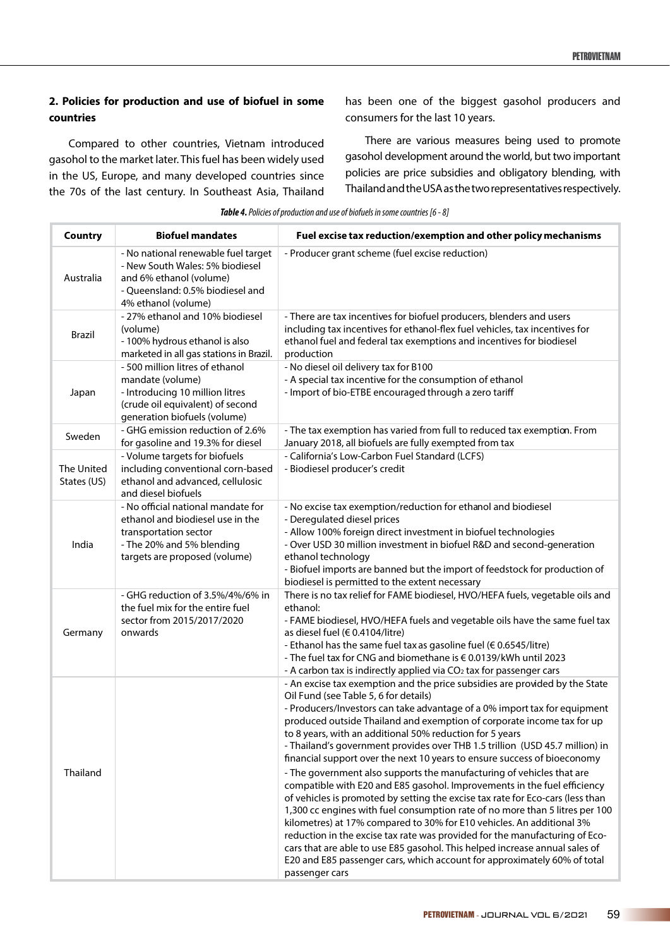### **2. Policies for production and use of biofuel in some countries**

Compared to other countries, Vietnam introduced gasohol to the market later. This fuel has been widely used in the US, Europe, and many developed countries since the 70s of the last century. In Southeast Asia, Thailand has been one of the biggest gasohol producers and consumers for the last 10 years.

There are various measures being used to promote gasohol development around the world, but two important policies are price subsidies and obligatory blending, with Thailand and the USA as the two representatives respectively.

| <b>Table 4.</b> Policies of production and use of biofuels in some countries [6 - 8] |  |  |
|--------------------------------------------------------------------------------------|--|--|
|--------------------------------------------------------------------------------------|--|--|

| <b>Country</b>                                                                                                                                                          | <b>Biofuel mandates</b>                                                                                                                                       | Fuel excise tax reduction/exemption and other policy mechanisms                                                                                                                                                                                                                                                                                                                                                                                                                                                                                                                                                                                                                                                                                                                                                                                                                                                                                                                                                                                                                                                                                                 |  |
|-------------------------------------------------------------------------------------------------------------------------------------------------------------------------|---------------------------------------------------------------------------------------------------------------------------------------------------------------|-----------------------------------------------------------------------------------------------------------------------------------------------------------------------------------------------------------------------------------------------------------------------------------------------------------------------------------------------------------------------------------------------------------------------------------------------------------------------------------------------------------------------------------------------------------------------------------------------------------------------------------------------------------------------------------------------------------------------------------------------------------------------------------------------------------------------------------------------------------------------------------------------------------------------------------------------------------------------------------------------------------------------------------------------------------------------------------------------------------------------------------------------------------------|--|
| Australia                                                                                                                                                               | - No national renewable fuel target<br>- New South Wales: 5% biodiesel<br>and 6% ethanol (volume)<br>- Queensland: 0.5% biodiesel and<br>4% ethanol (volume)  | - Producer grant scheme (fuel excise reduction)                                                                                                                                                                                                                                                                                                                                                                                                                                                                                                                                                                                                                                                                                                                                                                                                                                                                                                                                                                                                                                                                                                                 |  |
| <b>Brazil</b>                                                                                                                                                           | - 27% ethanol and 10% biodiesel<br>(volume)<br>- 100% hydrous ethanol is also<br>marketed in all gas stations in Brazil.                                      | - There are tax incentives for biofuel producers, blenders and users<br>including tax incentives for ethanol-flex fuel vehicles, tax incentives for<br>ethanol fuel and federal tax exemptions and incentives for biodiesel<br>production                                                                                                                                                                                                                                                                                                                                                                                                                                                                                                                                                                                                                                                                                                                                                                                                                                                                                                                       |  |
| Japan                                                                                                                                                                   | - 500 million litres of ethanol<br>mandate (volume)<br>- Introducing 10 million litres<br>(crude oil equivalent) of second<br>generation biofuels (volume)    | - No diesel oil delivery tax for B100<br>- A special tax incentive for the consumption of ethanol<br>- Import of bio-ETBE encouraged through a zero tariff                                                                                                                                                                                                                                                                                                                                                                                                                                                                                                                                                                                                                                                                                                                                                                                                                                                                                                                                                                                                      |  |
| Sweden                                                                                                                                                                  | - GHG emission reduction of 2.6%<br>for gasoline and 19.3% for diesel                                                                                         | - The tax exemption has varied from full to reduced tax exemption. From<br>January 2018, all biofuels are fully exempted from tax                                                                                                                                                                                                                                                                                                                                                                                                                                                                                                                                                                                                                                                                                                                                                                                                                                                                                                                                                                                                                               |  |
| The United<br>States (US)                                                                                                                                               | - Volume targets for biofuels<br>including conventional corn-based<br>ethanol and advanced, cellulosic<br>and diesel biofuels                                 | - California's Low-Carbon Fuel Standard (LCFS)<br>- Biodiesel producer's credit                                                                                                                                                                                                                                                                                                                                                                                                                                                                                                                                                                                                                                                                                                                                                                                                                                                                                                                                                                                                                                                                                 |  |
| India                                                                                                                                                                   | - No official national mandate for<br>ethanol and biodiesel use in the<br>transportation sector<br>- The 20% and 5% blending<br>targets are proposed (volume) | - No excise tax exemption/reduction for ethanol and biodiesel<br>- Deregulated diesel prices<br>- Allow 100% foreign direct investment in biofuel technologies<br>- Over USD 30 million investment in biofuel R&D and second-generation<br>ethanol technology<br>- Biofuel imports are banned but the import of feedstock for production of<br>biodiesel is permitted to the extent necessary                                                                                                                                                                                                                                                                                                                                                                                                                                                                                                                                                                                                                                                                                                                                                                   |  |
| - GHG reduction of 3.5%/4%/6% in<br>the fuel mix for the entire fuel<br>ethanol:<br>sector from 2015/2017/2020<br>onwards<br>as diesel fuel (€ 0.4104/litre)<br>Germany |                                                                                                                                                               | There is no tax relief for FAME biodiesel, HVO/HEFA fuels, vegetable oils and<br>- FAME biodiesel, HVO/HEFA fuels and vegetable oils have the same fuel tax<br>- Ethanol has the same fuel tax as gasoline fuel (€ 0.6545/litre)<br>- The fuel tax for CNG and biomethane is € 0.0139/kWh until 2023<br>- A carbon tax is indirectly applied via CO <sub>2</sub> tax for passenger cars                                                                                                                                                                                                                                                                                                                                                                                                                                                                                                                                                                                                                                                                                                                                                                         |  |
| Thailand                                                                                                                                                                |                                                                                                                                                               | - An excise tax exemption and the price subsidies are provided by the State<br>Oil Fund (see Table 5, 6 for details)<br>- Producers/Investors can take advantage of a 0% import tax for equipment<br>produced outside Thailand and exemption of corporate income tax for up<br>to 8 years, with an additional 50% reduction for 5 years<br>- Thailand's government provides over THB 1.5 trillion (USD 45.7 million) in<br>financial support over the next 10 years to ensure success of bioeconomy<br>- The government also supports the manufacturing of vehicles that are<br>compatible with E20 and E85 gasohol. Improvements in the fuel efficiency<br>of vehicles is promoted by setting the excise tax rate for Eco-cars (less than<br>1,300 cc engines with fuel consumption rate of no more than 5 litres per 100<br>kilometres) at 17% compared to 30% for E10 vehicles. An additional 3%<br>reduction in the excise tax rate was provided for the manufacturing of Eco-<br>cars that are able to use E85 gasohol. This helped increase annual sales of<br>E20 and E85 passenger cars, which account for approximately 60% of total<br>passenger cars |  |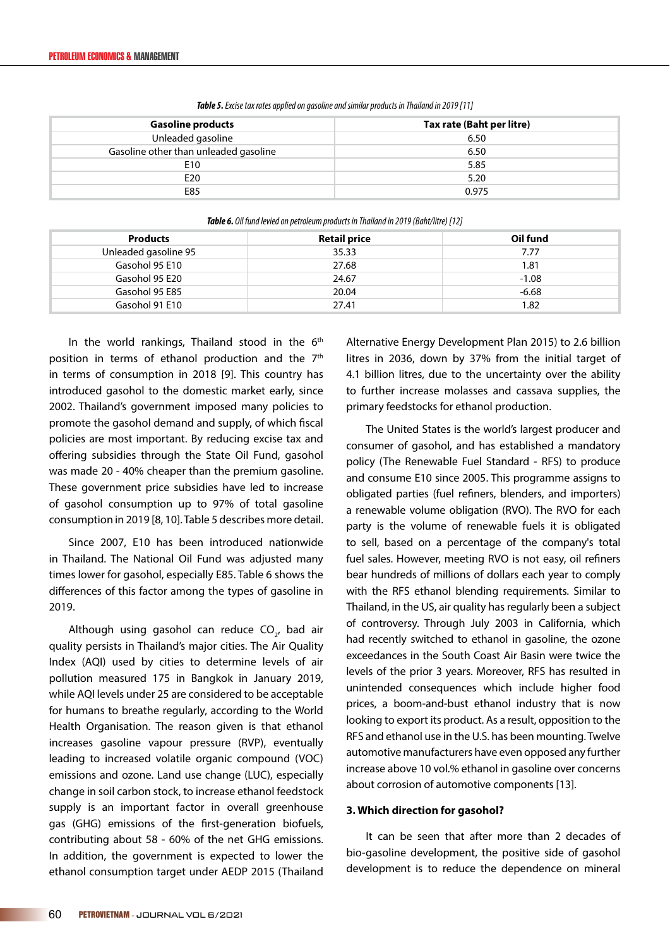| Tax rate (Baht per litre) |
|---------------------------|
| 6.50                      |
| 6.50                      |
| 5.85                      |
| 5.20                      |
| 0.975                     |
|                           |

*Table 5. Excise tax rates applied on gasoline and similar products in Thailand in 2019 [11]*

| <b>TODIE 0.</b> Off family review on performant products in Thumanu in 2019 (bunt) filte) [12] |                     |          |  |  |
|------------------------------------------------------------------------------------------------|---------------------|----------|--|--|
| <b>Products</b>                                                                                | <b>Retail price</b> | Oil fund |  |  |
| Unleaded gasoline 95                                                                           | 35.33               | 7.77     |  |  |
| Gasohol 95 E10                                                                                 | 27.68               | 1.81     |  |  |
| Gasohol 95 E20                                                                                 | 24.67               | $-1.08$  |  |  |
| Gasohol 95 E85                                                                                 | 20.04               | $-6.68$  |  |  |
| Gasohol 91 E10                                                                                 | 27.41               | 1.82     |  |  |

*Table 6. Oil fund levied on petroleum products in Thailand in 2019 (Baht/litre) [12]*

In the world rankings, Thailand stood in the  $6<sup>th</sup>$ position in terms of ethanol production and the 7<sup>th</sup> in terms of consumption in 2018 [9]. This country has introduced gasohol to the domestic market early, since 2002. Thailand's government imposed many policies to promote the gasohol demand and supply, of which fiscal policies are most important. By reducing excise tax and offering subsidies through the State Oil Fund, gasohol was made 20 - 40% cheaper than the premium gasoline. These government price subsidies have led to increase of gasohol consumption up to 97% of total gasoline consumption in 2019 [8, 10]. Table 5 describes more detail.

Since 2007, E10 has been introduced nationwide in Thailand. The National Oil Fund was adjusted many times lower for gasohol, especially E85. Table 6 shows the differences of this factor among the types of gasoline in 2019.

Although using gasohol can reduce  $CO_{2'}$  bad air quality persists in Thailand's major cities. The Air Quality Index (AQI) used by cities to determine levels of air pollution measured 175 in Bangkok in January 2019, while AQI levels under 25 are considered to be acceptable for humans to breathe regularly, according to the World Health Organisation. The reason given is that ethanol increases gasoline vapour pressure (RVP), eventually leading to increased volatile organic compound (VOC) emissions and ozone. Land use change (LUC), especially change in soil carbon stock, to increase ethanol feedstock supply is an important factor in overall greenhouse gas (GHG) emissions of the first-generation biofuels, contributing about 58 - 60% of the net GHG emissions. In addition, the government is expected to lower the ethanol consumption target under AEDP 2015 (Thailand

Alternative Energy Development Plan 2015) to 2.6 billion litres in 2036, down by 37% from the initial target of 4.1 billion litres, due to the uncertainty over the ability to further increase molasses and cassava supplies, the primary feedstocks for ethanol production.

The United States is the world's largest producer and consumer of gasohol, and has established a mandatory policy (The Renewable Fuel Standard - RFS) to produce and consume E10 since 2005. This programme assigns to obligated parties (fuel refiners, blenders, and importers) a renewable volume obligation (RVO). The RVO for each party is the volume of renewable fuels it is obligated to sell, based on a percentage of the company's total fuel sales. However, meeting RVO is not easy, oil refiners bear hundreds of millions of dollars each year to comply with the RFS ethanol blending requirements. Similar to Thailand, in the US, air quality has regularly been a subject of controversy. Through July 2003 in California, which had recently switched to ethanol in gasoline, the ozone exceedances in the South Coast Air Basin were twice the levels of the prior 3 years. Moreover, RFS has resulted in unintended consequences which include higher food prices, a boom-and-bust ethanol industry that is now looking to export its product. As a result, opposition to the RFS and ethanol use in the U.S. has been mounting. Twelve automotive manufacturers have even opposed any further increase above 10 vol.% ethanol in gasoline over concerns about corrosion of automotive components [13].

#### **3. Which direction for gasohol?**

It can be seen that after more than 2 decades of bio-gasoline development, the positive side of gasohol development is to reduce the dependence on mineral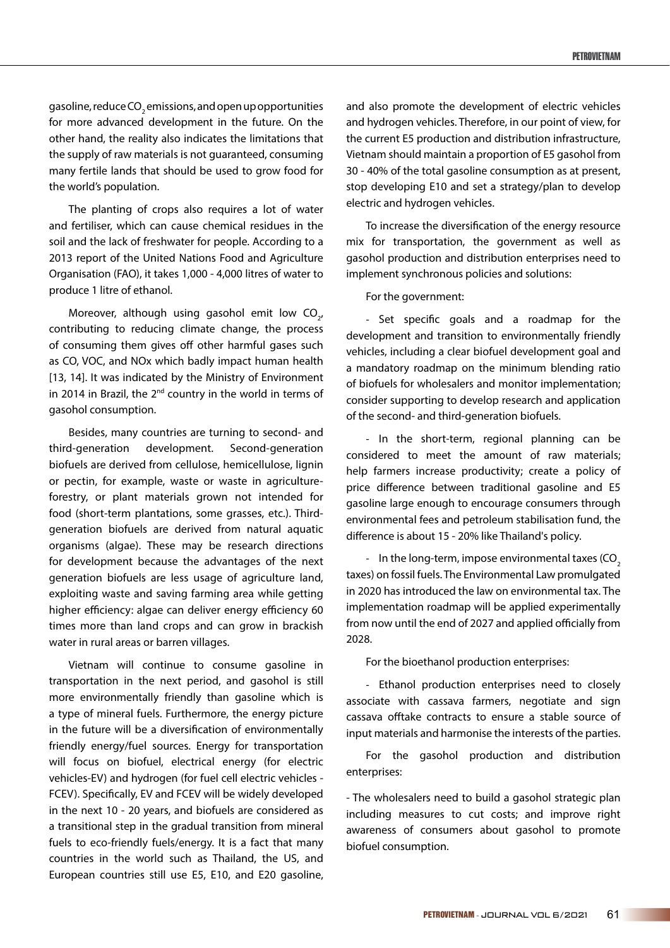gasoline, reduce CO $_{\tiny 2}$ emissions, and open up opportunities for more advanced development in the future. On the other hand, the reality also indicates the limitations that the supply of raw materials is not guaranteed, consuming many fertile lands that should be used to grow food for the world's population.

The planting of crops also requires a lot of water and fertiliser, which can cause chemical residues in the soil and the lack of freshwater for people. According to a 2013 report of the United Nations Food and Agriculture Organisation (FAO), it takes 1,000 - 4,000 litres of water to produce 1 litre of ethanol.

Moreover, although using gasohol emit low  $CO_{2'}$ contributing to reducing climate change, the process of consuming them gives off other harmful gases such as CO, VOC, and NOx which badly impact human health [13, 14]. It was indicated by the Ministry of Environment in 2014 in Brazil, the  $2^{nd}$  country in the world in terms of gasohol consumption.

Besides, many countries are turning to second- and third-generation development. Second-generation biofuels are derived from cellulose, hemicellulose, lignin or pectin, for example, waste or waste in agricultureforestry, or plant materials grown not intended for food (short-term plantations, some grasses, etc.). Thirdgeneration biofuels are derived from natural aquatic organisms (algae). These may be research directions for development because the advantages of the next generation biofuels are less usage of agriculture land, exploiting waste and saving farming area while getting higher efficiency: algae can deliver energy efficiency 60 times more than land crops and can grow in brackish water in rural areas or barren villages.

Vietnam will continue to consume gasoline in transportation in the next period, and gasohol is still more environmentally friendly than gasoline which is a type of mineral fuels. Furthermore, the energy picture in the future will be a diversification of environmentally friendly energy/fuel sources. Energy for transportation will focus on biofuel, electrical energy (for electric vehicles-EV) and hydrogen (for fuel cell electric vehicles - FCEV). Specifically, EV and FCEV will be widely developed in the next 10 - 20 years, and biofuels are considered as a transitional step in the gradual transition from mineral fuels to eco-friendly fuels/energy. It is a fact that many countries in the world such as Thailand, the US, and European countries still use E5, E10, and E20 gasoline,

and also promote the development of electric vehicles and hydrogen vehicles. Therefore, in our point of view, for the current E5 production and distribution infrastructure, Vietnam should maintain a proportion of E5 gasohol from 30 - 40% of the total gasoline consumption as at present, stop developing E10 and set a strategy/plan to develop electric and hydrogen vehicles.

To increase the diversification of the energy resource mix for transportation, the government as well as gasohol production and distribution enterprises need to implement synchronous policies and solutions:

For the government:

- Set specific goals and a roadmap for the development and transition to environmentally friendly vehicles, including a clear biofuel development goal and a mandatory roadmap on the minimum blending ratio of biofuels for wholesalers and monitor implementation; consider supporting to develop research and application of the second- and third-generation biofuels.

- In the short-term, regional planning can be considered to meet the amount of raw materials; help farmers increase productivity; create a policy of price difference between traditional gasoline and E5 gasoline large enough to encourage consumers through environmental fees and petroleum stabilisation fund, the difference is about 15 - 20% like Thailand's policy.

- In the long-term, impose environmental taxes  $(CO<sub>2</sub>)$ taxes) on fossil fuels. The Environmental Law promulgated in 2020 has introduced the law on environmental tax. The implementation roadmap will be applied experimentally from now until the end of 2027 and applied officially from 2028.

For the bioethanol production enterprises:

- Ethanol production enterprises need to closely associate with cassava farmers, negotiate and sign cassava offtake contracts to ensure a stable source of input materials and harmonise the interests of the parties.

For the gasohol production and distribution enterprises:

- The wholesalers need to build a gasohol strategic plan including measures to cut costs; and improve right awareness of consumers about gasohol to promote biofuel consumption.